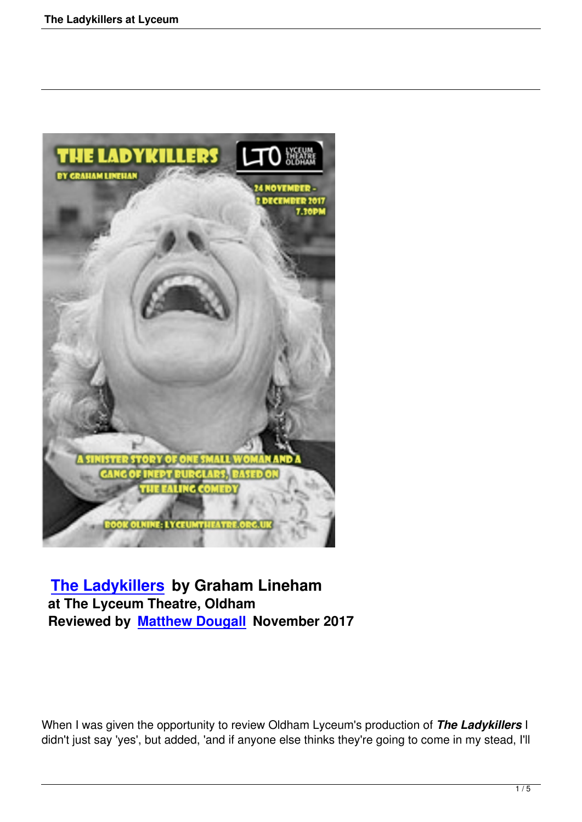

# **The Ladykillers by Graham Lineham at The Lyceum Theatre, Oldham [Reviewed by Matt](the-ladykillers-at-lyceum.html)hew Dougall November 2017**

When I was given the opportunity to review Oldham Lyceum's production of *The Ladykillers* I didn't just say 'yes', but added, 'and if anyone else thinks they're going to come in my stead, I'll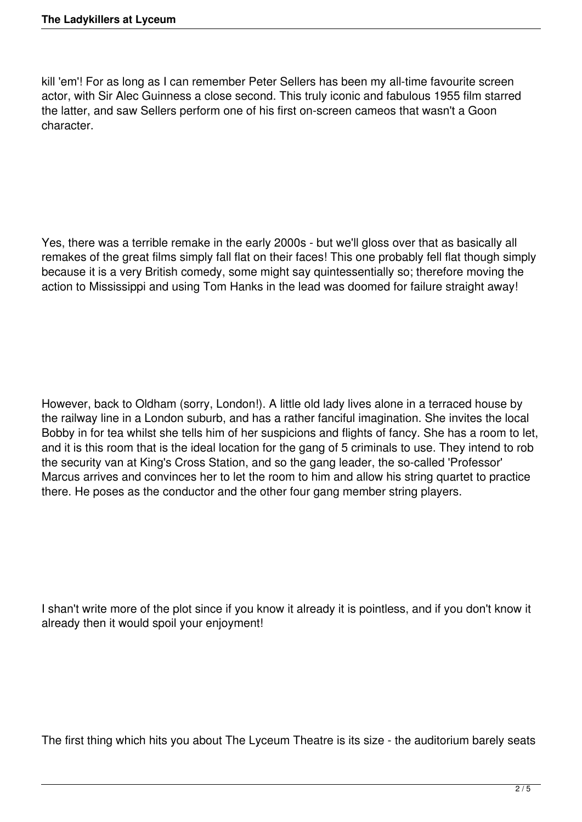kill 'em'! For as long as I can remember Peter Sellers has been my all-time favourite screen actor, with Sir Alec Guinness a close second. This truly iconic and fabulous 1955 film starred the latter, and saw Sellers perform one of his first on-screen cameos that wasn't a Goon character.

Yes, there was a terrible remake in the early 2000s - but we'll gloss over that as basically all remakes of the great films simply fall flat on their faces! This one probably fell flat though simply because it is a very British comedy, some might say quintessentially so; therefore moving the action to Mississippi and using Tom Hanks in the lead was doomed for failure straight away!

However, back to Oldham (sorry, London!). A little old lady lives alone in a terraced house by the railway line in a London suburb, and has a rather fanciful imagination. She invites the local Bobby in for tea whilst she tells him of her suspicions and flights of fancy. She has a room to let, and it is this room that is the ideal location for the gang of 5 criminals to use. They intend to rob the security van at King's Cross Station, and so the gang leader, the so-called 'Professor' Marcus arrives and convinces her to let the room to him and allow his string quartet to practice there. He poses as the conductor and the other four gang member string players.

I shan't write more of the plot since if you know it already it is pointless, and if you don't know it already then it would spoil your enjoyment!

The first thing which hits you about The Lyceum Theatre is its size - the auditorium barely seats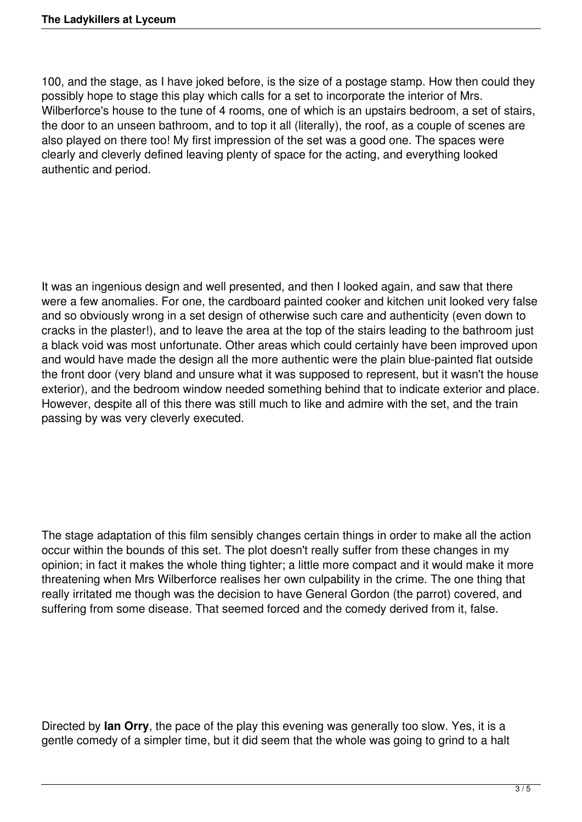100, and the stage, as I have joked before, is the size of a postage stamp. How then could they possibly hope to stage this play which calls for a set to incorporate the interior of Mrs. Wilberforce's house to the tune of 4 rooms, one of which is an upstairs bedroom, a set of stairs, the door to an unseen bathroom, and to top it all (literally), the roof, as a couple of scenes are also played on there too! My first impression of the set was a good one. The spaces were clearly and cleverly defined leaving plenty of space for the acting, and everything looked authentic and period.

It was an ingenious design and well presented, and then I looked again, and saw that there were a few anomalies. For one, the cardboard painted cooker and kitchen unit looked very false and so obviously wrong in a set design of otherwise such care and authenticity (even down to cracks in the plaster!), and to leave the area at the top of the stairs leading to the bathroom just a black void was most unfortunate. Other areas which could certainly have been improved upon and would have made the design all the more authentic were the plain blue-painted flat outside the front door (very bland and unsure what it was supposed to represent, but it wasn't the house exterior), and the bedroom window needed something behind that to indicate exterior and place. However, despite all of this there was still much to like and admire with the set, and the train passing by was very cleverly executed.

The stage adaptation of this film sensibly changes certain things in order to make all the action occur within the bounds of this set. The plot doesn't really suffer from these changes in my opinion; in fact it makes the whole thing tighter; a little more compact and it would make it more threatening when Mrs Wilberforce realises her own culpability in the crime. The one thing that really irritated me though was the decision to have General Gordon (the parrot) covered, and suffering from some disease. That seemed forced and the comedy derived from it, false.

Directed by **Ian Orry**, the pace of the play this evening was generally too slow. Yes, it is a gentle comedy of a simpler time, but it did seem that the whole was going to grind to a halt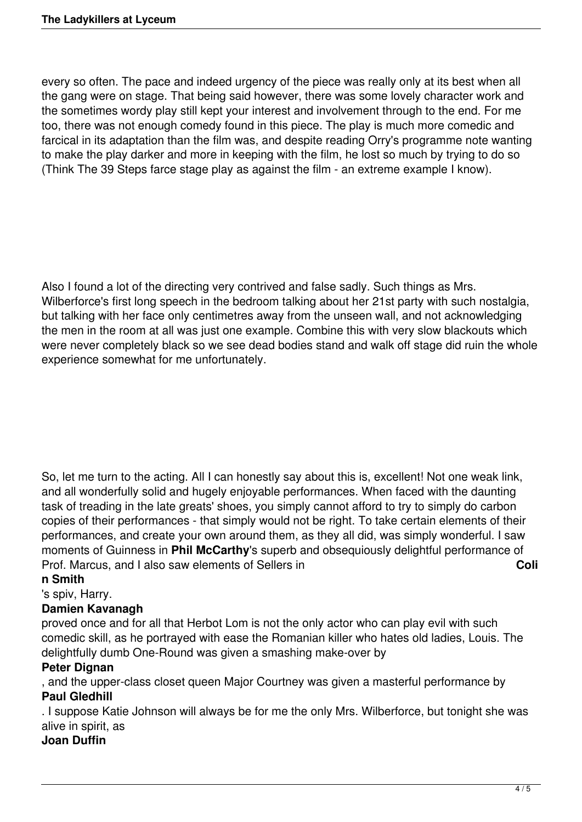every so often. The pace and indeed urgency of the piece was really only at its best when all the gang were on stage. That being said however, there was some lovely character work and the sometimes wordy play still kept your interest and involvement through to the end. For me too, there was not enough comedy found in this piece. The play is much more comedic and farcical in its adaptation than the film was, and despite reading Orry's programme note wanting to make the play darker and more in keeping with the film, he lost so much by trying to do so (Think The 39 Steps farce stage play as against the film - an extreme example I know).

Also I found a lot of the directing very contrived and false sadly. Such things as Mrs. Wilberforce's first long speech in the bedroom talking about her 21st party with such nostalgia, but talking with her face only centimetres away from the unseen wall, and not acknowledging the men in the room at all was just one example. Combine this with very slow blackouts which were never completely black so we see dead bodies stand and walk off stage did ruin the whole experience somewhat for me unfortunately.

So, let me turn to the acting. All I can honestly say about this is, excellent! Not one weak link, and all wonderfully solid and hugely enjoyable performances. When faced with the daunting task of treading in the late greats' shoes, you simply cannot afford to try to simply do carbon copies of their performances - that simply would not be right. To take certain elements of their performances, and create your own around them, as they all did, was simply wonderful. I saw moments of Guinness in **Phil McCarthy**'s superb and obsequiously delightful performance of Prof. Marcus, and I also saw elements of Sellers in **Coll Coll Coll** 

### **n Smith**

### 's spiv, Harry.

## **Damien Kavanagh**

proved once and for all that Herbot Lom is not the only actor who can play evil with such comedic skill, as he portrayed with ease the Romanian killer who hates old ladies, Louis. The delightfully dumb One-Round was given a smashing make-over by

### **Peter Dignan**

, and the upper-class closet queen Major Courtney was given a masterful performance by **Paul Gledhill**

. I suppose Katie Johnson will always be for me the only Mrs. Wilberforce, but tonight she was alive in spirit, as

## **Joan Duffin**